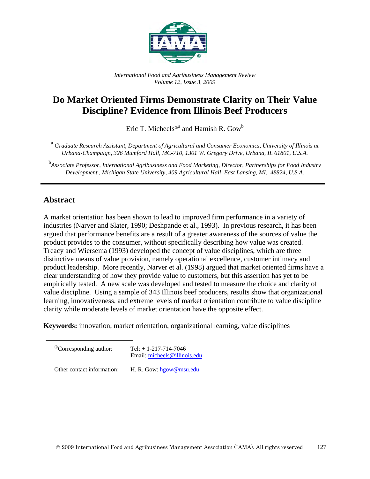

*International Food and Agribusiness Management Review Volume 12, Issue 3, 2009*

# **Do Market Oriented Firms Demonstrate Clarity on Their Value Discipline? Evidence from Illinois Beef Producers**

Eric T. Micheels $^{\oplus a}$  and Hamish R. Gow $^{\rm b}$ 

<sup>a</sup> *Graduate Research Assistant, Department of Agricultural and Consumer Economics, University of Illinois at Urbana-Champaign, 326 Mumford Hall, MC-710, 1301 W. Gregory Drive, Urbana, IL 61801, U.S.A.* 

<sup>b</sup><br>Associate Professor, International Agribusiness and Food Marketing, Director, Partnerships for Food Industry *Development , Michigan State University, 409 Agricultural Hall, East Lansing, MI, 48824, U.S.A.* 

## **Abstract**

A market orientation has been shown to lead to improved firm performance in a variety of industries (Narver and Slater, 1990; Deshpande et al., 1993). In previous research, it has been argued that performance benefits are a result of a greater awareness of the sources of value the product provides to the consumer, without specifically describing how value was created. Treacy and Wiersema (1993) developed the concept of value disciplines, which are three distinctive means of value provision, namely operational excellence, customer intimacy and product leadership. More recently, Narver et al. (1998) argued that market oriented firms have a clear understanding of how they provide value to customers, but this assertion has yet to be empirically tested. A new scale was developed and tested to measure the choice and clarity of value discipline. Using a sample of 343 Illinois beef producers, results show that organizational learning, innovativeness, and extreme levels of market orientation contribute to value discipline clarity while moderate levels of market orientation have the opposite effect.

**Keywords:** innovation, market orientation, organizational learning, value disciplines

 $^{\circ}$ Corresponding author: Tel: + 1-217-714-7046

Email: [micheels@illinois.edu](mailto:micheels@illinois.edu) 

Other contact information: H. R. Gow: hgow@msu.edu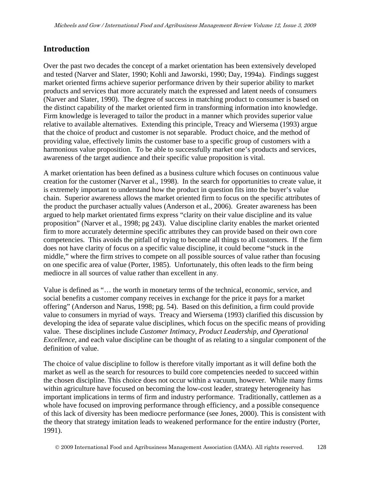## **Introduction**

Over the past two decades the concept of a market orientation has been extensively developed and tested (Narver and Slater, 1990; Kohli and Jaworski, 1990; Day, 1994a). Findings suggest market oriented firms achieve superior performance driven by their superior ability to market products and services that more accurately match the expressed and latent needs of consumers (Narver and Slater, 1990). The degree of success in matching product to consumer is based on the distinct capability of the market oriented firm in transforming information into knowledge. Firm knowledge is leveraged to tailor the product in a manner which provides superior value relative to available alternatives. Extending this principle, Treacy and Wiersema (1993) argue that the choice of product and customer is not separable. Product choice, and the method of providing value, effectively limits the customer base to a specific group of customers with a harmonious value proposition. To be able to successfully market one's products and services, awareness of the target audience and their specific value proposition is vital.

A market orientation has been defined as a business culture which focuses on continuous value creation for the customer (Narver et al., 1998). In the search for opportunities to create value, it is extremely important to understand how the product in question fits into the buyer's value chain. Superior awareness allows the market oriented firm to focus on the specific attributes of the product the purchaser actually values (Anderson et al., 2006). Greater awareness has been argued to help market orientated firms express "clarity on their value discipline and its value proposition" (Narver et al., 1998; pg 243). Value discipline clarity enables the market oriented firm to more accurately determine specific attributes they can provide based on their own core competencies. This avoids the pitfall of trying to become all things to all customers. If the firm does not have clarity of focus on a specific value discipline, it could become "stuck in the middle," where the firm strives to compete on all possible sources of value rather than focusing on one specific area of value (Porter, 1985). Unfortunately, this often leads to the firm being mediocre in all sources of value rather than excellent in any.

Value is defined as "… the worth in monetary terms of the technical, economic, service, and social benefits a customer company receives in exchange for the price it pays for a market offering" (Anderson and Narus, 1998; pg. 54). Based on this definition, a firm could provide value to consumers in myriad of ways. Treacy and Wiersema (1993) clarified this discussion by developing the idea of separate value disciplines, which focus on the specific means of providing value. These disciplines include *Customer Intimacy, Product Leadership, and Operational Excellence,* and each value discipline can be thought of as relating to a singular component of the definition of value.

The choice of value discipline to follow is therefore vitally important as it will define both the market as well as the search for resources to build core competencies needed to succeed within the chosen discipline. This choice does not occur within a vacuum, however. While many firms within agriculture have focused on becoming the low-cost leader, strategy heterogeneity has important implications in terms of firm and industry performance. Traditionally, cattlemen as a whole have focused on improving performance through efficiency, and a possible consequence of this lack of diversity has been mediocre performance (see Jones, 2000). This is consistent with the theory that strategy imitation leads to weakened performance for the entire industry (Porter, 1991).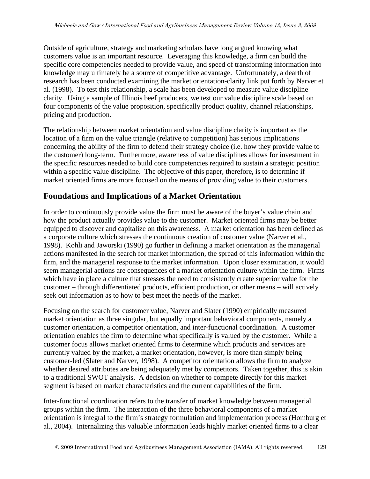Outside of agriculture, strategy and marketing scholars have long argued knowing what customers value is an important resource. Leveraging this knowledge, a firm can build the specific core competencies needed to provide value, and speed of transforming information into knowledge may ultimately be a source of competitive advantage. Unfortunately, a dearth of research has been conducted examining the market orientation-clarity link put forth by Narver et al. (1998). To test this relationship, a scale has been developed to measure value discipline clarity. Using a sample of Illinois beef producers, we test our value discipline scale based on four components of the value proposition, specifically product quality, channel relationships, pricing and production.

The relationship between market orientation and value discipline clarity is important as the location of a firm on the value triangle (relative to competition) has serious implications concerning the ability of the firm to defend their strategy choice (i.e. how they provide value to the customer) long-term. Furthermore, awareness of value disciplines allows for investment in the specific resources needed to build core competencies required to sustain a strategic position within a specific value discipline. The objective of this paper, therefore, is to determine if market oriented firms are more focused on the means of providing value to their customers.

# **Foundations and Implications of a Market Orientation**

In order to continuously provide value the firm must be aware of the buyer's value chain and how the product actually provides value to the customer. Market oriented firms may be better equipped to discover and capitalize on this awareness. A market orientation has been defined as a corporate culture which stresses the continuous creation of customer value (Narver et al., 1998). Kohli and Jaworski (1990) go further in defining a market orientation as the managerial actions manifested in the search for market information, the spread of this information within the firm, and the managerial response to the market information. Upon closer examination, it would seem managerial actions are consequences of a market orientation culture within the firm. Firms which have in place a culture that stresses the need to consistently create superior value for the customer – through differentiated products, efficient production, or other means – will actively seek out information as to how to best meet the needs of the market.

Focusing on the search for customer value, Narver and Slater (1990) empirically measured market orientation as three singular, but equally important behavioral components, namely a customer orientation, a competitor orientation, and inter-functional coordination. A customer orientation enables the firm to determine what specifically is valued by the customer. While a customer focus allows market oriented firms to determine which products and services are currently valued by the market, a market orientation, however, is more than simply being customer-led (Slater and Narver, 1998). A competitor orientation allows the firm to analyze whether desired attributes are being adequately met by competitors. Taken together, this is akin to a traditional SWOT analysis. A decision on whether to compete directly for this market segment is based on market characteristics and the current capabilities of the firm.

Inter-functional coordination refers to the transfer of market knowledge between managerial groups within the firm. The interaction of the three behavioral components of a market orientation is integral to the firm's strategy formulation and implementation process (Homburg et al., 2004). Internalizing this valuable information leads highly market oriented firms to a clear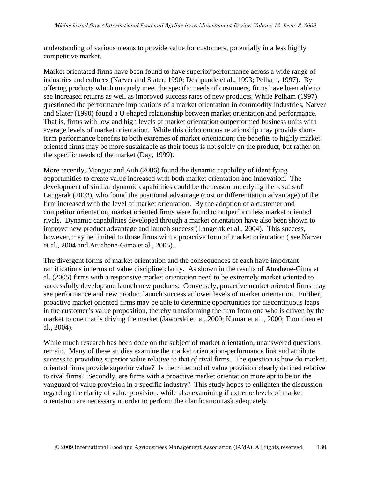understanding of various means to provide value for customers, potentially in a less highly competitive market.

Market orientated firms have been found to have superior performance across a wide range of industries and cultures (Narver and Slater, 1990; Deshpande et al., 1993; Pelham, 1997). By offering products which uniquely meet the specific needs of customers, firms have been able to see increased returns as well as improved success rates of new products. While Pelham (1997) questioned the performance implications of a market orientation in commodity industries, Narver and Slater (1990) found a U-shaped relationship between market orientation and performance. That is, firms with low and high levels of market orientation outperformed business units with average levels of market orientation. While this dichotomous relationship may provide shortterm performance benefits to both extremes of market orientation; the benefits to highly market oriented firms may be more sustainable as their focus is not solely on the product, but rather on the specific needs of the market (Day, 1999).

More recently, Menguc and Auh (2006) found the dynamic capability of identifying opportunities to create value increased with both market orientation and innovation. The development of similar dynamic capabilities could be the reason underlying the results of Langerak (2003), who found the positional advantage (cost or differentiation advantage) of the firm increased with the level of market orientation. By the adoption of a customer and competitor orientation, market oriented firms were found to outperform less market oriented rivals. Dynamic capabilities developed through a market orientation have also been shown to improve new product advantage and launch success (Langerak et al., 2004). This success, however, may be limited to those firms with a proactive form of market orientation ( see Narver et al., 2004 and Atuahene-Gima et al., 2005).

The divergent forms of market orientation and the consequences of each have important ramifications in terms of value discipline clarity. As shown in the results of Atuahene-Gima et al. (2005) firms with a responsive market orientation need to be extremely market oriented to successfully develop and launch new products. Conversely, proactive market oriented firms may see performance and new product launch success at lower levels of market orientation. Further, proactive market oriented firms may be able to determine opportunities for discontinuous leaps in the customer's value proposition, thereby transforming the firm from one who is driven by the market to one that is driving the market (Jaworski et. al, 2000; Kumar et al.., 2000; Tuominen et al., 2004).

While much research has been done on the subject of market orientation, unanswered questions remain. Many of these studies examine the market orientation-performance link and attribute success to providing superior value relative to that of rival firms. The question is how do market oriented firms provide superior value? Is their method of value provision clearly defined relative to rival firms? Secondly, are firms with a proactive market orientation more apt to be on the vanguard of value provision in a specific industry? This study hopes to enlighten the discussion regarding the clarity of value provision, while also examining if extreme levels of market orientation are necessary in order to perform the clarification task adequately.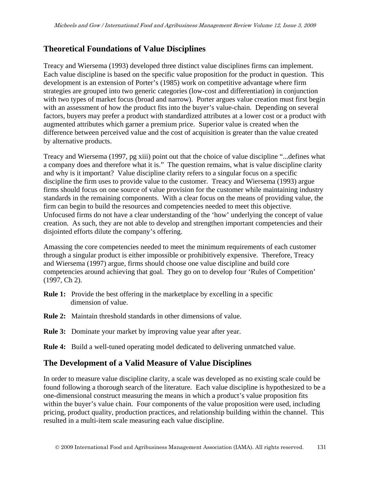## **Theoretical Foundations of Value Disciplines**

Treacy and Wiersema (1993) developed three distinct value disciplines firms can implement. Each value discipline is based on the specific value proposition for the product in question. This development is an extension of Porter's (1985) work on competitive advantage where firm strategies are grouped into two generic categories (low-cost and differentiation) in conjunction with two types of market focus (broad and narrow). Porter argues value creation must first begin with an assessment of how the product fits into the buyer's value-chain. Depending on several factors, buyers may prefer a product with standardized attributes at a lower cost or a product with augmented attributes which garner a premium price. Superior value is created when the difference between perceived value and the cost of acquisition is greater than the value created by alternative products.

Treacy and Wiersema (1997, pg xiii) point out that the choice of value discipline "...defines what a company does and therefore what it is." The question remains, what is value discipline clarity and why is it important? Value discipline clarity refers to a singular focus on a specific discipline the firm uses to provide value to the customer. Treacy and Wiersema (1993) argue firms should focus on one source of value provision for the customer while maintaining industry standards in the remaining components. With a clear focus on the means of providing value, the firm can begin to build the resources and competencies needed to meet this objective. Unfocused firms do not have a clear understanding of the 'how' underlying the concept of value creation. As such, they are not able to develop and strengthen important competencies and their disjointed efforts dilute the company's offering.

Amassing the core competencies needed to meet the minimum requirements of each customer through a singular product is either impossible or prohibitively expensive. Therefore, Treacy and Wiersema (1997) argue, firms should choose one value discipline and build core competencies around achieving that goal. They go on to develop four 'Rules of Competition' (1997, Ch 2).

- **Rule 1:** Provide the best offering in the marketplace by excelling in a specific dimension of value.
- **Rule 2:** Maintain threshold standards in other dimensions of value.
- **Rule 3:** Dominate your market by improving value year after year.
- **Rule 4:** Build a well-tuned operating model dedicated to delivering unmatched value.

## **The Development of a Valid Measure of Value Disciplines**

In order to measure value discipline clarity, a scale was developed as no existing scale could be found following a thorough search of the literature. Each value discipline is hypothesized to be a one-dimensional construct measuring the means in which a product's value proposition fits within the buyer's value chain. Four components of the value proposition were used, including pricing, product quality, production practices, and relationship building within the channel. This resulted in a multi-item scale measuring each value discipline.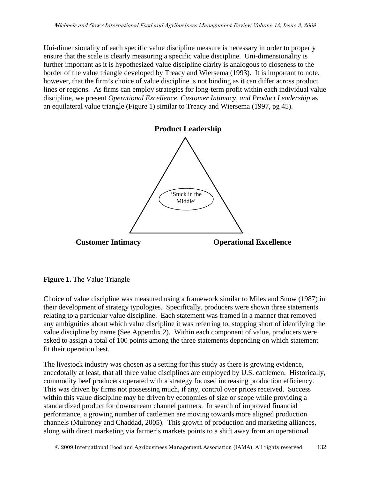Uni-dimensionality of each specific value discipline measure is necessary in order to properly ensure that the scale is clearly measuring a specific value discipline. Uni-dimensionality is further important as it is hypothesized value discipline clarity is analogous to closeness to the border of the value triangle developed by Treacy and Wiersema (1993). It is important to note, however, that the firm's choice of value discipline is not binding as it can differ across product lines or regions. As firms can employ strategies for long-term profit within each individual value discipline, we present *Operational Excellence, Customer Intimacy, and Product Leadership* as an equilateral value triangle (Figure 1) similar to Treacy and Wiersema (1997, pg 45).



**Figure 1.** The Value Triangle

Choice of value discipline was measured using a framework similar to Miles and Snow (1987) in their development of strategy typologies. Specifically, producers were shown three statements relating to a particular value discipline. Each statement was framed in a manner that removed any ambiguities about which value discipline it was referring to, stopping short of identifying the value discipline by name (See Appendix 2). Within each component of value, producers were asked to assign a total of 100 points among the three statements depending on which statement fit their operation best.

The livestock industry was chosen as a setting for this study as there is growing evidence, anecdotally at least, that all three value disciplines are employed by U.S. cattlemen. Historically, commodity beef producers operated with a strategy focused increasing production efficiency. This was driven by firms not possessing much, if any, control over prices received. Success within this value discipline may be driven by economies of size or scope while providing a standardized product for downstream channel partners. In search of improved financial performance, a growing number of cattlemen are moving towards more aligned production channels (Mulroney and Chaddad, 2005). This growth of production and marketing alliances, along with direct marketing via farmer's markets points to a shift away from an operational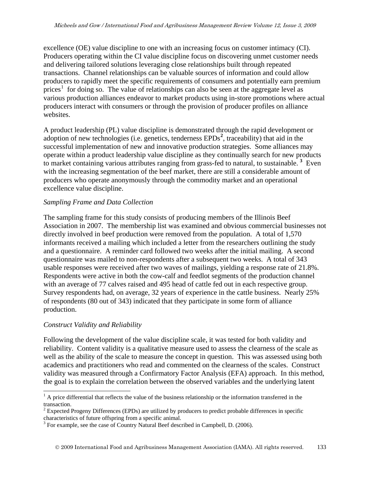excellence (OE) value discipline to one with an increasing focus on customer intimacy (CI). Producers operating within the CI value discipline focus on discovering unmet customer needs and delivering tailored solutions leveraging close relationships built through repeated transactions. Channel relationships can be valuable sources of information and could allow producers to rapidly meet the specific requirements of consumers and potentially earn premium  $\text{prices}^1$  $\text{prices}^1$  for doing so. The value of relationships can also be seen at the aggregate level as various production alliances endeavor to market products using in-store promotions where actual producers interact with consumers or through the provision of producer profiles on alliance websites.

A product leadership (PL) value discipline is demonstrated through the rapid development or adoption of new technologies (i.e. genetics, tenderness EPDs<sup>[2](#page-6-1)</sup>, traceability) that aid in the successful implementation of new and innovative production strategies. Some alliances may operate within a product leadership value discipline as they continually search for new products to market containing various attributes ranging from grass-fed to natural, to sustainable. **[3](#page-6-2)** Even with the increasing segmentation of the beef market, there are still a considerable amount of producers who operate anonymously through the commodity market and an operational excellence value discipline.

## *Sampling Frame and Data Collection*

The sampling frame for this study consists of producing members of the Illinois Beef Association in 2007. The membership list was examined and obvious commercial businesses not directly involved in beef production were removed from the population. A total of 1,570 informants received a mailing which included a letter from the researchers outlining the study and a questionnaire. A reminder card followed two weeks after the initial mailing. A second questionnaire was mailed to non-respondents after a subsequent two weeks. A total of 343 usable responses were received after two waves of mailings, yielding a response rate of 21.8%. Respondents were active in both the cow-calf and feedlot segments of the production channel with an average of 77 calves raised and 495 head of cattle fed out in each respective group. Survey respondents had, on average, 32 years of experience in the cattle business. Nearly 25% of respondents (80 out of 343) indicated that they participate in some form of alliance production.

## *Construct Validity and Reliability*

Following the development of the value discipline scale, it was tested for both validity and reliability. Content validity is a qualitative measure used to assess the clearness of the scale as well as the ability of the scale to measure the concept in question. This was assessed using both academics and practitioners who read and commented on the clearness of the scales. Construct validity was measured through a Confirmatory Factor Analysis (EFA) approach. In this method, the goal is to explain the correlation between the observed variables and the underlying latent

<span id="page-6-0"></span> $\overline{a}$  $<sup>1</sup>$  A price differential that reflects the value of the business relationship or the information transferred in the</sup> transaction.

<span id="page-6-1"></span> $2$  Expected Progeny Differences (EPDs) are utilized by producers to predict probable differences in specific characteristics of future offspring from a specific animal.

<span id="page-6-2"></span> $3$  For example, see the case of Country Natural Beef described in Campbell, D. (2006).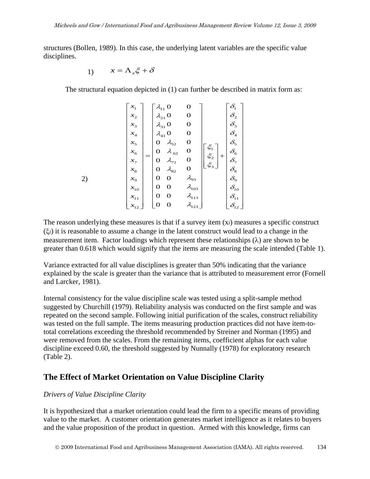structures (Bollen, 1989). In this case, the underlying latent variables are the specific value disciplines.

$$
1) \qquad x = \Lambda_x \xi + \delta
$$

The structural equation depicted in (1) can further be described in matrix form as:

$$
\begin{bmatrix} x_1 \\ x_2 \\ x_3 \\ x_4 \\ x_5 \\ x_6 \\ x_7 \\ x_8 \\ x_9 \\ x_{10} \\ x_{11} \\ x_{12} \end{bmatrix} = \begin{bmatrix} \lambda_{11} & 0 & 0 \\ \lambda_{21} & 0 & 0 \\ \lambda_{31} & 0 & 0 \\ \lambda_{41} & 0 & 0 \\ \lambda_{52} & 0 & 0 \\ 0 & \lambda_{52} & 0 \\ 0 & \lambda_{62} & 0 \\ 0 & \lambda_{72} & 0 \\ 0 & 0 & \lambda_{93} \\ 0 & 0 & \lambda_{93} \\ x_{11} \\ x_{12} \end{bmatrix} = \begin{bmatrix} \xi_1 \\ \xi_2 \\ \xi_3 \end{bmatrix} + \begin{bmatrix} \delta_1 \\ \delta_2 \\ \delta_3 \\ \delta_4 \\ \delta_5 \\ \delta_6 \\ \delta_7 \\ \delta_8 \\ \delta_9 \\ \delta_{10} \\ \delta_{11} \\ \delta_{12} \end{bmatrix}
$$

The reason underlying these measures is that if a survey item (x*i*) measures a specific construct (ξ*i*) it is reasonable to assume a change in the latent construct would lead to a change in the measurement item. Factor loadings which represent these relationships  $(\lambda)$  are shown to be greater than 0.618 which would signify that the items are measuring the scale intended (Table 1).

Variance extracted for all value disciplines is greater than 50% indicating that the variance explained by the scale is greater than the variance that is attributed to measurement error (Fornell and Larcker, 1981).

Internal consistency for the value discipline scale was tested using a split-sample method suggested by Churchill (1979). Reliability analysis was conducted on the first sample and was repeated on the second sample. Following initial purification of the scales, construct reliability was tested on the full sample. The items measuring production practices did not have item-tototal correlations exceeding the threshold recommended by Streiner and Norman (1995) and were removed from the scales. From the remaining items, coefficient alphas for each value discipline exceed 0.60, the threshold suggested by Nunnally (1978) for exploratory research (Table 2).

## **The Effect of Market Orientation on Value Discipline Clarity**

#### *Drivers of Value Discipline Clarity*

It is hypothesized that a market orientation could lead the firm to a specific means of providing value to the market. A customer orientation generates market intelligence as it relates to buyers and the value proposition of the product in question. Armed with this knowledge, firms can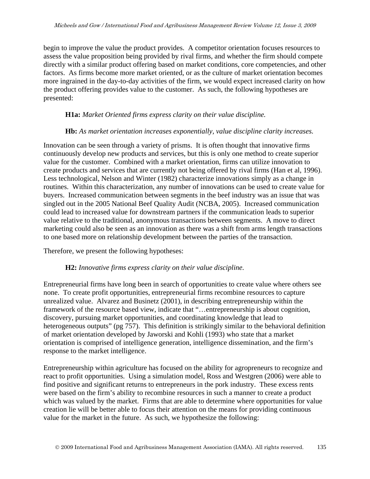begin to improve the value the product provides. A competitor orientation focuses resources to assess the value proposition being provided by rival firms, and whether the firm should compete directly with a similar product offering based on market conditions, core competencies, and other factors. As firms become more market oriented, or as the culture of market orientation becomes more ingrained in the day-to-day activities of the firm, we would expect increased clarity on how the product offering provides value to the customer. As such, the following hypotheses are presented:

#### **H1a:** *Market Oriented firms express clarity on their value discipline.*

#### **Hb:** *As market orientation increases exponentially, value discipline clarity increases.*

Innovation can be seen through a variety of prisms. It is often thought that innovative firms continuously develop new products and services, but this is only one method to create superior value for the customer. Combined with a market orientation, firms can utilize innovation to create products and services that are currently not being offered by rival firms (Han et al, 1996). Less technological, Nelson and Winter (1982) characterize innovations simply as a change in routines. Within this characterization, any number of innovations can be used to create value for buyers. Increased communication between segments in the beef industry was an issue that was singled out in the 2005 National Beef Quality Audit (NCBA, 2005). Increased communication could lead to increased value for downstream partners if the communication leads to superior value relative to the traditional, anonymous transactions between segments. A move to direct marketing could also be seen as an innovation as there was a shift from arms length transactions to one based more on relationship development between the parties of the transaction.

Therefore, we present the following hypotheses:

#### **H2:** *Innovative firms express clarity on their value discipline.*

Entrepreneurial firms have long been in search of opportunities to create value where others see none. To create profit opportunities, entrepreneurial firms recombine resources to capture unrealized value. Alvarez and Businetz (2001), in describing entrepreneurship within the framework of the resource based view, indicate that "…entrepreneurship is about cognition, discovery, pursuing market opportunities, and coordinating knowledge that lead to heterogeneous outputs" (pg 757). This definition is strikingly similar to the behavioral definition of market orientation developed by Jaworski and Kohli (1993) who state that a market orientation is comprised of intelligence generation, intelligence dissemination, and the firm's response to the market intelligence.

Entrepreneurship within agriculture has focused on the ability for agropreneurs to recognize and react to profit opportunities. Using a simulation model, Ross and Westgren (2006) were able to find positive and significant returns to entrepreneurs in the pork industry. These excess rents were based on the firm's ability to recombine resources in such a manner to create a product which was valued by the market. Firms that are able to determine where opportunities for value creation lie will be better able to focus their attention on the means for providing continuous value for the market in the future. As such, we hypothesize the following: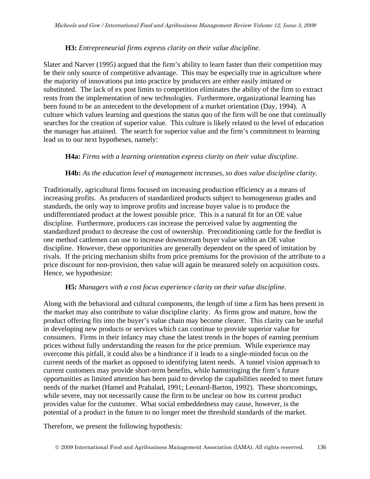## **H3:** *Entrepreneurial firms express clarity on their value discipline.*

Slater and Narver (1995) argued that the firm's ability to learn faster than their competition may be their only source of competitive advantage. This may be especially true in agriculture where the majority of innovations put into practice by producers are either easily imitated or substituted. The lack of ex post limits to competition eliminates the ability of the firm to extract rents from the implementation of new technologies. Furthermore, organizational learning has been found to be an antecedent to the development of a market orientation (Day, 1994). A culture which values learning and questions the status quo of the firm will be one that continually searches for the creation of superior value. This culture is likely related to the level of education the manager has attained. The search for superior value and the firm's commitment to learning lead us to our next hypotheses, namely:

#### **H4a:** *Firms with a learning orientation express clarity on their value discipline.*

## **H4b:** *As the education level of management increases, so does value discipline clarity.*

Traditionally, agricultural firms focused on increasing production efficiency as a means of increasing profits. As producers of standardized products subject to homogeneous grades and standards, the only way to improve profits and increase buyer value is to produce the undifferentiated product at the lowest possible price. This is a natural fit for an OE value discipline. Furthermore, producers can increase the perceived value by augmenting the standardized product to decrease the cost of ownership. Preconditioning cattle for the feedlot is one method cattlemen can use to increase downstream buyer value within an OE value discipline. However, these opportunities are generally dependent on the speed of imitation by rivals. If the pricing mechanism shifts from price premiums for the provision of the attribute to a price discount for non-provision, then value will again be measured solely on acquisition costs. Hence, we hypothesize:

#### **H5:** *Managers with a cost focus experience clarity on their value discipline.*

Along with the behavioral and cultural components, the length of time a firm has been present in the market may also contribute to value discipline clarity. As firms grow and mature, how the product offering fits into the buyer's value chain may become clearer. This clarity can be useful in developing new products or services which can continue to provide superior value for consumers. Firms in their infancy may chase the latest trends in the hopes of earning premium prices without fully understanding the reason for the price premium. While experience may overcome this pitfall, it could also be a hindrance if it leads to a single-minded focus on the current needs of the market as opposed to identifying latent needs. A tunnel vision approach to current customers may provide short-term benefits, while hamstringing the firm's future opportunities as limited attention has been paid to develop the capabilities needed to meet future needs of the market (Hamel and Prahalad, 1991; Leonard-Barton, 1992). These shortcomings, while severe, may not necessarily cause the firm to be unclear on how its current product provides value for the customer. What social embeddedness may cause, however, is the potential of a product in the future to no longer meet the threshold standards of the market.

Therefore, we present the following hypothesis: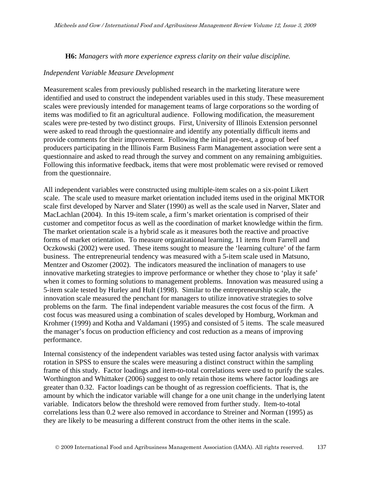**H6:** *Managers with more experience express clarity on their value discipline.* 

#### *Independent Variable Measure Development*

Measurement scales from previously published research in the marketing literature were identified and used to construct the independent variables used in this study. These measurement scales were previously intended for management teams of large corporations so the wording of items was modified to fit an agricultural audience. Following modification, the measurement scales were pre-tested by two distinct groups. First, University of Illinois Extension personnel were asked to read through the questionnaire and identify any potentially difficult items and provide comments for their improvement. Following the initial pre-test, a group of beef producers participating in the Illinois Farm Business Farm Management association were sent a questionnaire and asked to read through the survey and comment on any remaining ambiguities. Following this informative feedback, items that were most problematic were revised or removed from the questionnaire.

All independent variables were constructed using multiple-item scales on a six-point Likert scale. The scale used to measure market orientation included items used in the original MKTOR scale first developed by Narver and Slater (1990) as well as the scale used in Narver, Slater and MacLachlan (2004). In this 19-item scale, a firm's market orientation is comprised of their customer and competitor focus as well as the coordination of market knowledge within the firm. The market orientation scale is a hybrid scale as it measures both the reactive and proactive forms of market orientation. To measure organizational learning, 11 items from Farrell and Oczkowski (2002) were used. These items sought to measure the 'learning culture' of the farm business. The entrepreneurial tendency was measured with a 5-item scale used in Matsuno, Mentzer and Oszomer (2002). The indicators measured the inclination of managers to use innovative marketing strategies to improve performance or whether they chose to 'play it safe' when it comes to forming solutions to management problems. Innovation was measured using a 5-item scale tested by Hurley and Hult (1998). Similar to the entrepreneurship scale, the innovation scale measured the penchant for managers to utilize innovative strategies to solve problems on the farm. The final independent variable measures the cost focus of the firm. A cost focus was measured using a combination of scales developed by Homburg, Workman and Krohmer (1999) and Kotha and Valdamani (1995) and consisted of 5 items. The scale measured the manager's focus on production efficiency and cost reduction as a means of improving performance.

Internal consistency of the independent variables was tested using factor analysis with varimax rotation in SPSS to ensure the scales were measuring a distinct construct within the sampling frame of this study. Factor loadings and item-to-total correlations were used to purify the scales. Worthington and Whittaker (2006) suggest to only retain those items where factor loadings are greater than 0.32. Factor loadings can be thought of as regression coefficients. That is, the amount by which the indicator variable will change for a one unit change in the underlying latent variable. Indicators below the threshold were removed from further study. Item-to-total correlations less than 0.2 were also removed in accordance to Streiner and Norman (1995) as they are likely to be measuring a different construct from the other items in the scale.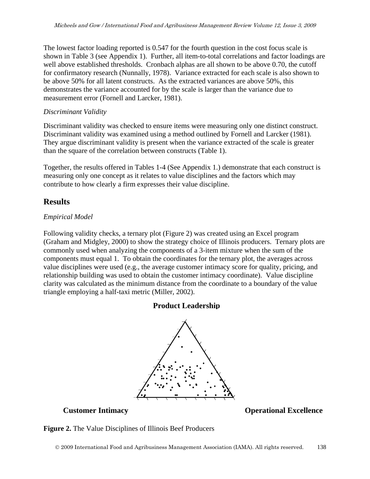The lowest factor loading reported is 0.547 for the fourth question in the cost focus scale is shown in Table 3 (see Appendix 1). Further, all item-to-total correlations and factor loadings are well above established thresholds. Cronbach alphas are all shown to be above 0.70, the cutoff for confirmatory research (Nunnally, 1978). Variance extracted for each scale is also shown to be above 50% for all latent constructs. As the extracted variances are above 50%, this demonstrates the variance accounted for by the scale is larger than the variance due to measurement error (Fornell and Larcker, 1981).

#### *Discriminant Validity*

Discriminant validity was checked to ensure items were measuring only one distinct construct. Discriminant validity was examined using a method outlined by Fornell and Larcker (1981). They argue discriminant validity is present when the variance extracted of the scale is greater than the square of the correlation between constructs (Table 1).

Together, the results offered in Tables 1-4 (See Appendix 1.) demonstrate that each construct is measuring only one concept as it relates to value disciplines and the factors which may contribute to how clearly a firm expresses their value discipline.

## **Results**

#### *Empirical Model*

Following validity checks, a ternary plot (Figure 2) was created using an Excel program (Graham and Midgley, 2000) to show the strategy choice of Illinois producers. Ternary plots are commonly used when analyzing the components of a 3-item mixture when the sum of the components must equal 1. To obtain the coordinates for the ternary plot, the averages across value disciplines were used (e.g., the average customer intimacy score for quality, pricing, and relationship building was used to obtain the customer intimacy coordinate). Value discipline clarity was calculated as the minimum distance from the coordinate to a boundary of the value triangle employing a half-taxi metric (Miller, 2002).

## **Product Leadership**



**Customer Intimacy Customer Intimacy Operational Excellence** 

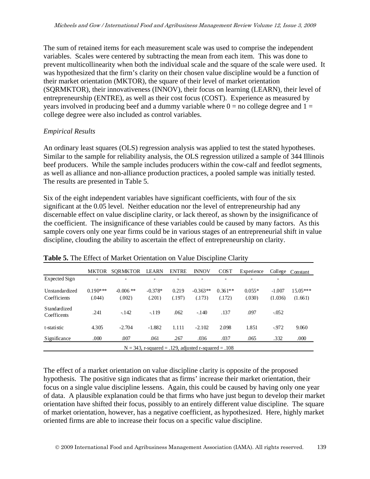The sum of retained items for each measurement scale was used to comprise the independent variables. Scales were centered by subtracting the mean from each item. This was done to prevent multicollinearity when both the individual scale and the square of the scale were used. It was hypothesized that the firm's clarity on their chosen value discipline would be a function of their market orientation (MKTOR), the square of their level of market orientation (SQRMKTOR), their innovativeness (INNOV), their focus on learning (LEARN), their level of entrepreneurship (ENTRE), as well as their cost focus (COST). Experience as measured by years involved in producing beef and a dummy variable where  $0 =$  no college degree and  $1 =$ college degree were also included as control variables.

## *Empirical Results*

An ordinary least squares (OLS) regression analysis was applied to test the stated hypotheses. Similar to the sample for reliability analysis, the OLS regression utilized a sample of 344 Illinois beef producers. While the sample includes producers within the cow-calf and feedlot segments, as well as alliance and non-alliance production practices, a pooled sample was initially tested. The results are presented in Table 5.

Six of the eight independent variables have significant coefficients, with four of the six significant at the 0.05 level. Neither education nor the level of entrepreneurship had any discernable effect on value discipline clarity, or lack thereof, as shown by the insignificance of the coefficient. The insignificance of these variables could be caused by many factors. As this sample covers only one year firms could be in various stages of an entrepreneurial shift in value discipline, clouding the ability to ascertain the effect of entrepreneurship on clarity.

|                                | <b>MKTOR</b>         | <b>SORMKTOR</b>                                         | <b>LEARN</b>        | <b>ENTRE</b>    | <b>INNOV</b>         | <b>COST</b>         | Experience         | College             | Constant              |
|--------------------------------|----------------------|---------------------------------------------------------|---------------------|-----------------|----------------------|---------------------|--------------------|---------------------|-----------------------|
| Expected Sign                  | ۰                    | $\blacksquare$                                          | $\blacksquare$      | ۰               |                      | $\blacksquare$      | $\blacksquare$     |                     |                       |
| Unstandardized<br>Coefficients | $0.190***$<br>(.044) | $-0.006$ **<br>(.002)                                   | $-0.378*$<br>(.201) | 0.219<br>(.197) | $-0.363**$<br>(.173) | $0.361**$<br>(.172) | $0.055*$<br>(.030) | $-1.007$<br>(1.036) | $15.05***$<br>(1.661) |
| Standardized<br>Coefficents    | .241                 | $-142$                                                  | $-119$              | .062            | $-140$               | .137                | .097               | $-.052$             |                       |
| t-statistic                    | 4.305                | $-2.704$                                                | $-1.882$            | 1.111           | $-2.102$             | 2.098               | 1.851              | $-972$              | 9.060                 |
| Significance                   | .000                 | .007                                                    | .061                | .267            | .036                 | .037                | .065               | .332                | .000                  |
|                                |                      | $N = 343$ , r-squared = .129, adjusted r-squared = .108 |                     |                 |                      |                     |                    |                     |                       |

|  |  | Table 5. The Effect of Market Orientation on Value Discipline Clarity |  |  |  |
|--|--|-----------------------------------------------------------------------|--|--|--|
|  |  |                                                                       |  |  |  |

The effect of a market orientation on value discipline clarity is opposite of the proposed hypothesis. The positive sign indicates that as firms' increase their market orientation, their focus on a single value discipline lessens. Again, this could be caused by having only one year of data. A plausible explanation could be that firms who have just begun to develop their market orientation have shifted their focus, possibly to an entirely different value discipline. The square of market orientation, however, has a negative coefficient, as hypothesized. Here, highly market oriented firms are able to increase their focus on a specific value discipline.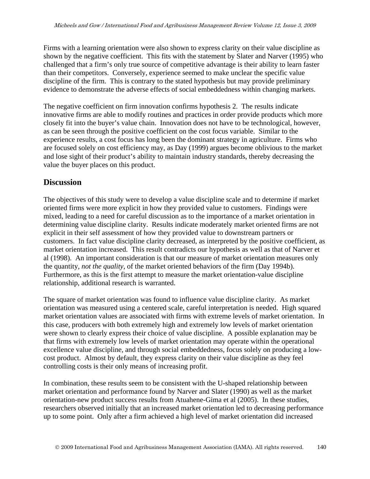Firms with a learning orientation were also shown to express clarity on their value discipline as shown by the negative coefficient. This fits with the statement by Slater and Narver (1995) who challenged that a firm's only true source of competitive advantage is their ability to learn faster than their competitors. Conversely, experience seemed to make unclear the specific value discipline of the firm. This is contrary to the stated hypothesis but may provide preliminary evidence to demonstrate the adverse effects of social embeddedness within changing markets.

The negative coefficient on firm innovation confirms hypothesis 2. The results indicate innovative firms are able to modify routines and practices in order provide products which more closely fit into the buyer's value chain. Innovation does not have to be technological, however, as can be seen through the positive coefficient on the cost focus variable. Similar to the experience results, a cost focus has long been the dominant strategy in agriculture. Firms who are focused solely on cost efficiency may, as Day (1999) argues become oblivious to the market and lose sight of their product's ability to maintain industry standards, thereby decreasing the value the buyer places on this product.

## **Discussion**

The objectives of this study were to develop a value discipline scale and to determine if market oriented firms were more explicit in how they provided value to customers. Findings were mixed, leading to a need for careful discussion as to the importance of a market orientation in determining value discipline clarity. Results indicate moderately market oriented firms are not explicit in their self assessment of how they provided value to downstream partners or customers. In fact value discipline clarity decreased, as interpreted by the positive coefficient, as market orientation increased. This result contradicts our hypothesis as well as that of Narver et al (1998). An important consideration is that our measure of market orientation measures only the quantity, *not the quality,* of the market oriented behaviors of the firm (Day 1994b). Furthermore, as this is the first attempt to measure the market orientation-value discipline relationship, additional research is warranted.

The square of market orientation was found to influence value discipline clarity. As market orientation was measured using a centered scale, careful interpretation is needed. High squared market orientation values are associated with firms with extreme levels of market orientation. In this case, producers with both extremely high and extremely low levels of market orientation were shown to clearly express their choice of value discipline. A possible explanation may be that firms with extremely low levels of market orientation may operate within the operational excellence value discipline, and through social embeddedness, focus solely on producing a lowcost product. Almost by default, they express clarity on their value discipline as they feel controlling costs is their only means of increasing profit.

In combination, these results seem to be consistent with the U-shaped relationship between market orientation and performance found by Narver and Slater (1990) as well as the market orientation-new product success results from Atuahene-Gima et al (2005). In these studies, researchers observed initially that an increased market orientation led to decreasing performance up to some point. Only after a firm achieved a high level of market orientation did increased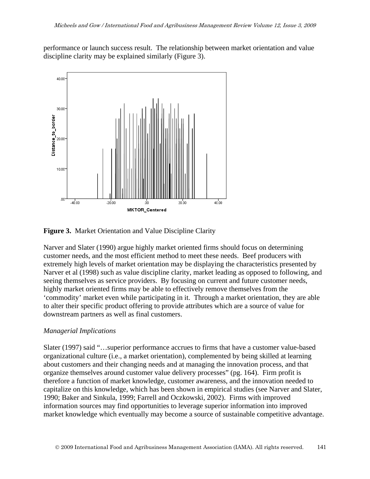performance or launch success result. The relationship between market orientation and value discipline clarity may be explained similarly (Figure 3).





Narver and Slater (1990) argue highly market oriented firms should focus on determining customer needs, and the most efficient method to meet these needs. Beef producers with extremely high levels of market orientation may be displaying the characteristics presented by Narver et al (1998) such as value discipline clarity, market leading as opposed to following, and seeing themselves as service providers. By focusing on current and future customer needs, highly market oriented firms may be able to effectively remove themselves from the 'commodity' market even while participating in it. Through a market orientation, they are able to alter their specific product offering to provide attributes which are a source of value for downstream partners as well as final customers.

#### *Managerial Implications*

Slater (1997) said "…superior performance accrues to firms that have a customer value-based organizational culture (i.e., a market orientation), complemented by being skilled at learning about customers and their changing needs and at managing the innovation process, and that organize themselves around customer value delivery processes" (pg. 164). Firm profit is therefore a function of market knowledge, customer awareness, and the innovation needed to capitalize on this knowledge, which has been shown in empirical studies (see Narver and Slater, 1990; Baker and Sinkula, 1999; Farrell and Oczkowski, 2002). Firms with improved information sources may find opportunities to leverage superior information into improved market knowledge which eventually may become a source of sustainable competitive advantage.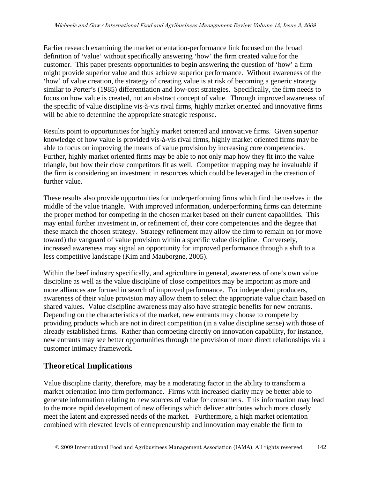Earlier research examining the market orientation-performance link focused on the broad definition of 'value' without specifically answering 'how' the firm created value for the customer. This paper presents opportunities to begin answering the question of 'how' a firm might provide superior value and thus achieve superior performance. Without awareness of the 'how' of value creation, the strategy of creating value is at risk of becoming a generic strategy similar to Porter's (1985) differentiation and low-cost strategies. Specifically, the firm needs to focus on how value is created, not an abstract concept of value. Through improved awareness of the specific of value discipline vis-à-vis rival firms, highly market oriented and innovative firms will be able to determine the appropriate strategic response.

Results point to opportunities for highly market oriented and innovative firms. Given superior knowledge of how value is provided vis-à-vis rival firms, highly market oriented firms may be able to focus on improving the means of value provision by increasing core competencies. Further, highly market oriented firms may be able to not only map how they fit into the value triangle, but how their close competitors fit as well. Competitor mapping may be invaluable if the firm is considering an investment in resources which could be leveraged in the creation of further value.

These results also provide opportunities for underperforming firms which find themselves in the middle of the value triangle. With improved information, underperforming firms can determine the proper method for competing in the chosen market based on their current capabilities. This may entail further investment in, or refinement of, their core competencies and the degree that these match the chosen strategy. Strategy refinement may allow the firm to remain on (or move toward) the vanguard of value provision within a specific value discipline. Conversely, increased awareness may signal an opportunity for improved performance through a shift to a less competitive landscape (Kim and Mauborgne, 2005).

Within the beef industry specifically, and agriculture in general, awareness of one's own value discipline as well as the value discipline of close competitors may be important as more and more alliances are formed in search of improved performance. For independent producers, awareness of their value provision may allow them to select the appropriate value chain based on shared values. Value discipline awareness may also have strategic benefits for new entrants. Depending on the characteristics of the market, new entrants may choose to compete by providing products which are not in direct competition (in a value discipline sense) with those of already established firms. Rather than competing directly on innovation capability, for instance, new entrants may see better opportunities through the provision of more direct relationships via a customer intimacy framework.

## **Theoretical Implications**

Value discipline clarity, therefore, may be a moderating factor in the ability to transform a market orientation into firm performance. Firms with increased clarity may be better able to generate information relating to new sources of value for consumers. This information may lead to the more rapid development of new offerings which deliver attributes which more closely meet the latent and expressed needs of the market. Furthermore, a high market orientation combined with elevated levels of entrepreneurship and innovation may enable the firm to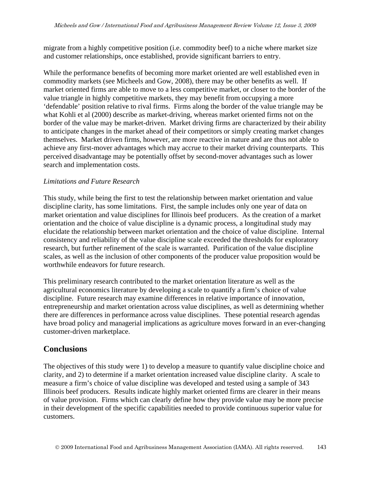migrate from a highly competitive position (i.e. commodity beef) to a niche where market size and customer relationships, once established, provide significant barriers to entry.

While the performance benefits of becoming more market oriented are well established even in commodity markets (see Micheels and Gow, 2008), there may be other benefits as well. If market oriented firms are able to move to a less competitive market, or closer to the border of the value triangle in highly competitive markets, they may benefit from occupying a more 'defendable' position relative to rival firms. Firms along the border of the value triangle may be what Kohli et al (2000) describe as market-driving, whereas market oriented firms not on the border of the value may be market-driven. Market driving firms are characterized by their ability to anticipate changes in the market ahead of their competitors or simply creating market changes themselves. Market driven firms, however, are more reactive in nature and are thus not able to achieve any first-mover advantages which may accrue to their market driving counterparts. This perceived disadvantage may be potentially offset by second-mover advantages such as lower search and implementation costs.

#### *Limitations and Future Research*

This study, while being the first to test the relationship between market orientation and value discipline clarity, has some limitations. First, the sample includes only one year of data on market orientation and value disciplines for Illinois beef producers. As the creation of a market orientation and the choice of value discipline is a dynamic process, a longitudinal study may elucidate the relationship between market orientation and the choice of value discipline. Internal consistency and reliability of the value discipline scale exceeded the thresholds for exploratory research, but further refinement of the scale is warranted. Purification of the value discipline scales, as well as the inclusion of other components of the producer value proposition would be worthwhile endeavors for future research.

This preliminary research contributed to the market orientation literature as well as the agricultural economics literature by developing a scale to quantify a firm's choice of value discipline. Future research may examine differences in relative importance of innovation, entrepreneurship and market orientation across value disciplines, as well as determining whether there are differences in performance across value disciplines. These potential research agendas have broad policy and managerial implications as agriculture moves forward in an ever-changing customer-driven marketplace.

## **Conclusions**

The objectives of this study were 1) to develop a measure to quantify value discipline choice and clarity, and 2) to determine if a market orientation increased value discipline clarity. A scale to measure a firm's choice of value discipline was developed and tested using a sample of 343 Illinois beef producers. Results indicate highly market oriented firms are clearer in their means of value provision. Firms which can clearly define how they provide value may be more precise in their development of the specific capabilities needed to provide continuous superior value for customers.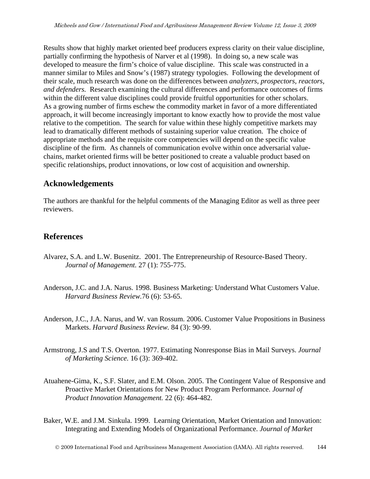Results show that highly market oriented beef producers express clarity on their value discipline, partially confirming the hypothesis of Narver et al (1998). In doing so, a new scale was developed to measure the firm's choice of value discipline. This scale was constructed in a manner similar to Miles and Snow's (1987) strategy typologies. Following the development of their scale, much research was done on the differences between *analyzers, prospectors, reactors, and defenders.* Research examining the cultural differences and performance outcomes of firms within the different value disciplines could provide fruitful opportunities for other scholars. As a growing number of firms eschew the commodity market in favor of a more differentiated approach, it will become increasingly important to know exactly how to provide the most value relative to the competition. The search for value within these highly competitive markets may lead to dramatically different methods of sustaining superior value creation. The choice of appropriate methods and the requisite core competencies will depend on the specific value discipline of the firm. As channels of communication evolve within once adversarial valuechains, market oriented firms will be better positioned to create a valuable product based on specific relationships, product innovations, or low cost of acquisition and ownership.

## **Acknowledgements**

The authors are thankful for the helpful comments of the Managing Editor as well as three peer reviewers.

## **References**

- Alvarez, S.A. and L.W. Busenitz. 2001. The Entrepreneurship of Resource-Based Theory. *Journal of Management.* 27 (1): 755-775.
- Anderson, J.C. and J.A. Narus. 1998. Business Marketing: Understand What Customers Value. *Harvard Business Review.*76 (6): 53-65.
- Anderson, J.C., J.A. Narus, and W. van Rossum. 2006. Customer Value Propositions in Business Markets. *Harvard Business Review.* 84 (3): 90-99.
- Armstrong, J.S and T.S. Overton. 1977. Estimating Nonresponse Bias in Mail Surveys. *Journal of Marketing Science.* 16 (3): 369-402.
- Atuahene-Gima, K., S.F. Slater, and E.M. Olson. 2005. The Contingent Value of Responsive and Proactive Market Orientations for New Product Program Performance. *Journal of Product Innovation Management.* 22 (6): 464-482.
- Baker, W.E. and J.M. Sinkula. 1999. Learning Orientation, Market Orientation and Innovation: Integrating and Extending Models of Organizational Performance. *Journal of Market*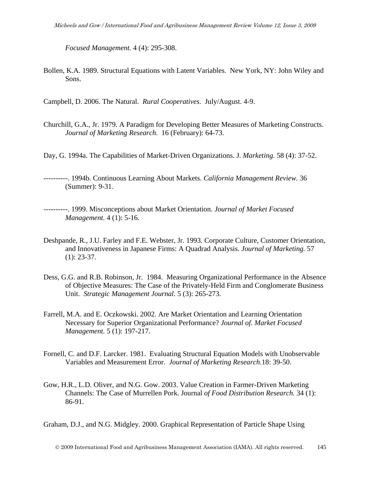*Focused Management.* 4 (4): 295-308.

Bollen, K.A. 1989. Structural Equations with Latent Variables. New York, NY: John Wiley and Sons.

Campbell, D. 2006. The Natural. *Rural Cooperatives.* July/August. 4-9.

- Churchill, G.A., Jr. 1979. A Paradigm for Developing Better Measures of Marketing Constructs. *Journal of Marketing Research.* 16 (February): 64-73.
- Day, G. 1994a. The Capabilities of Market-Driven Organizations. J. *Marketing.* 58 (4): 37-52.

----------. 1994b. Continuous Learning About Markets. *California Management Review.* 36 (Summer): 9-31.

- ----------. 1999. Misconceptions about Market Orientation. *Journal of Market Focused Management.* 4 (1): 5-16.
- Deshpande, R., J.U. Farley and F.E. Webster, Jr. 1993. Corporate Culture, Customer Orientation, and Innovativeness in Japanese Firms: A Quadrad Analysis. *Journal of Marketing.* 57 (1): 23-37.
- Dess, G.G. and R.B. Robinson, Jr. 1984. Measuring Organizational Performance in the Absence of Objective Measures: The Case of the Privately-Held Firm and Conglomerate Business Unit. *Strategic Management Journal.* 5 (3): 265-273.
- Farrell, M.A. and E. Oczkowski. 2002. Are Market Orientation and Learning Orientation Necessary for Superior Organizational Performance? *Journal of. Market Focused Management.* 5 (1): 197-217.
- Fornell, C. and D.F. Larcker. 1981. Evaluating Structural Equation Models with Unobservable Variables and Measurement Error. *Journal of Marketing Research.*18: 39-50.
- Gow, H.R., L.D. Oliver, and N.G. Gow. 2003. Value Creation in Farmer-Driven Marketing Channels: The Case of Murrellen Pork. Journal *of Food Distribution Research.* 34 (1): 86-91.

Graham, D.J., and N.G. Midgley. 2000. Graphical Representation of Particle Shape Using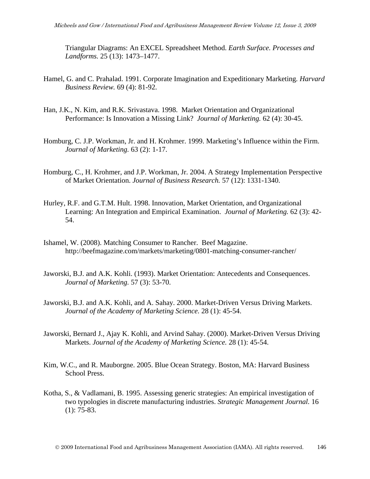Triangular Diagrams: An EXCEL Spreadsheet Method. *Earth Surface. Processes and Landforms.* 25 (13): 1473–1477.

- Hamel, G. and C. Prahalad. 1991. Corporate Imagination and Expeditionary Marketing*. Harvard Business Review.* 69 (4): 81-92.
- Han, J.K., N. Kim, and R.K. Srivastava. 1998. Market Orientation and Organizational Performance: Is Innovation a Missing Link? *Journal of Marketing.* 62 (4): 30-45.
- Homburg, C. J.P. Workman, Jr. and H. Krohmer. 1999. Marketing's Influence within the Firm. *Journal of Marketing.* 63 (2): 1-17.
- Homburg, C., H. Krohmer, and J.P. Workman, Jr. 2004. A Strategy Implementation Perspective of Market Orientation. *Journal of Business Research.* 57 (12): 1331-1340.
- Hurley, R.F. and G.T.M. Hult. 1998. Innovation, Market Orientation, and Organizational Learning: An Integration and Empirical Examination. *Journal of Marketing.* 62 (3): 42- 54.
- Ishamel, W. (2008). Matching Consumer to Rancher. Beef Magazine. http://beefmagazine.com/markets/marketing/0801-matching-consumer-rancher/
- Jaworski, B.J. and A.K. Kohli. (1993). Market Orientation: Antecedents and Consequences. *Journal of Marketing.* 57 (3): 53-70.
- Jaworski, B.J. and A.K. Kohli, and A. Sahay. 2000. Market-Driven Versus Driving Markets. *Journal of the Academy of Marketing Science.* 28 (1): 45-54.
- Jaworski, Bernard J., Ajay K. Kohli, and Arvind Sahay. (2000). Market-Driven Versus Driving Markets. *Journal of the Academy of Marketing Science.* 28 (1): 45-54.
- Kim, W.C., and R. Mauborgne. 2005. Blue Ocean Strategy. Boston, MA: Harvard Business School Press.
- Kotha, S., & Vadlamani, B. 1995. Assessing generic strategies: An empirical investigation of two typologies in discrete manufacturing industries. *Strategic Management Journal.* 16 (1): 75-83.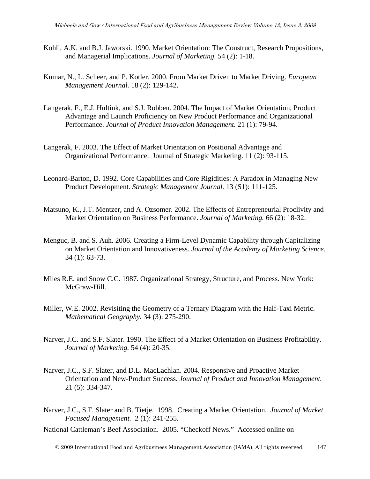- Kohli, A.K. and B.J. Jaworski. 1990. Market Orientation: The Construct, Research Propositions, and Managerial Implications. *Journal of Marketing.* 54 (2): 1-18.
- Kumar, N., L. Scheer, and P. Kotler. 2000. From Market Driven to Market Driving. *European Management Journal.* 18 (2): 129-142.
- Langerak, F., E.J. Hultink, and S.J. Robben. 2004. The Impact of Market Orientation, Product Advantage and Launch Proficiency on New Product Performance and Organizational Performance. *Journal of Product Innovation Management.* 21 (1): 79-94.
- Langerak, F. 2003. The Effect of Market Orientation on Positional Advantage and Organizational Performance. Journal of Strategic Marketing. 11 (2): 93-115.
- Leonard-Barton, D. 1992. Core Capabilities and Core Rigidities: A Paradox in Managing New Product Development*. Strategic Management Journal.* 13 (S1): 111-125.
- Matsuno, K., J.T. Mentzer, and A. Ozsomer. 2002. The Effects of Entrepreneurial Proclivity and Market Orientation on Business Performance. *Journal of Marketing.* 66 (2): 18-32.
- Menguc, B. and S. Auh. 2006. Creating a Firm-Level Dynamic Capability through Capitalizing on Market Orientation and Innovativeness. *Journal of the Academy of Marketing Science.*  34 (1): 63-73.
- Miles R.E. and Snow C.C. 1987. Organizational Strategy, Structure, and Process. New York: McGraw-Hill.
- Miller, W.E. 2002. Revisiting the Geometry of a Ternary Diagram with the Half-Taxi Metric. *Mathematical Geography.* 34 (3): 275-290.
- Narver, J.C. and S.F. Slater. 1990. The Effect of a Market Orientation on Business Profitabiltiy. *Journal of Marketing.* 54 (4): 20-35.
- Narver, J.C., S.F. Slater, and D.L. MacLachlan. 2004. Responsive and Proactive Market Orientation and New-Product Success. *Journal of Product and Innovation Management.*  21 (5): 334-347.
- Narver, J.C., S.F. Slater and B. Tietje. 1998. Creating a Market Orientation. *Journal of Market Focused Management.* 2 (1): 241-255.
- National Cattleman's Beef Association. 2005. "Checkoff News." Accessed online on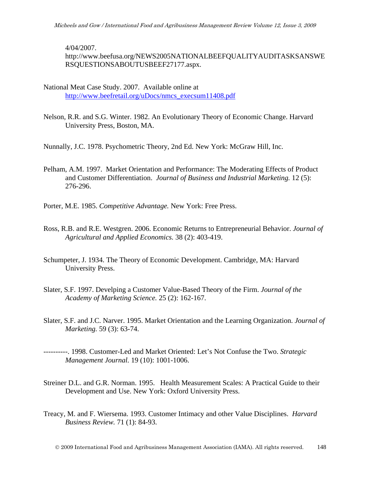4/04/2007. http://www.beefusa.org/NEWS2005NATIONALBEEFQUALITYAUDITASKSANSWE RSQUESTIONSABOUTUSBEEF27177.aspx.

- National Meat Case Study. 2007. Available online at [http://www.beefretail.org/uDocs/nmcs\\_execsum11408.pdf](http://www.beefretail.org/uDocs/nmcs_execsum11408.pdf)
- Nelson, R.R. and S.G. Winter. 1982. An Evolutionary Theory of Economic Change. Harvard University Press, Boston, MA.

Nunnally, J.C. 1978. Psychometric Theory, 2nd Ed. New York: McGraw Hill, Inc.

- Pelham, A.M. 1997. Market Orientation and Performance: The Moderating Effects of Product and Customer Differentiation. *Journal of Business and Industrial Marketing.* 12 (5): 276-296.
- Porter, M.E. 1985. *Competitive Advantage.* New York: Free Press.
- Ross, R.B. and R.E. Westgren. 2006. Economic Returns to Entrepreneurial Behavior. *Journal of Agricultural and Applied Economics.* 38 (2): 403-419.
- Schumpeter, J. 1934. The Theory of Economic Development. Cambridge, MA: Harvard University Press.
- Slater, S.F. 1997. Develping a Customer Value-Based Theory of the Firm. *Journal of the Academy of Marketing Science.* 25 (2): 162-167.
- Slater, S.F. and J.C. Narver. 1995. Market Orientation and the Learning Organization. *Journal of Marketing.* 59 (3): 63-74.
- ----------. 1998. Customer-Led and Market Oriented: Let's Not Confuse the Two. *Strategic Management Journal.* 19 (10): 1001-1006.
- Streiner D.L. and G.R. Norman. 1995. Health Measurement Scales: A Practical Guide to their Development and Use. New York: Oxford University Press.
- Treacy, M. and F. Wiersema. 1993. Customer Intimacy and other Value Disciplines. *Harvard Business Review.* 71 (1): 84-93.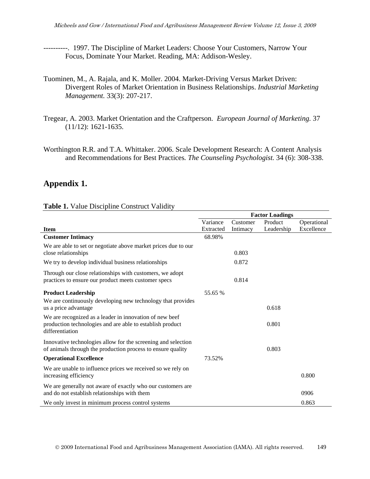- ----------. 1997. The Discipline of Market Leaders: Choose Your Customers, Narrow Your Focus, Dominate Your Market. Reading, MA: Addison-Wesley.
- Tuominen, M., A. Rajala, and K. Moller. 2004. Market-Driving Versus Market Driven: Divergent Roles of Market Orientation in Business Relationships. *Industrial Marketing Management.* 33(3): 207-217.
- Tregear, A. 2003. Market Orientation and the Craftperson. *European Journal of Marketing.* 37 (11/12): 1621-1635.
- Worthington R.R. and T.A. Whittaker. 2006. Scale Development Research: A Content Analysis and Recommendations for Best Practices*. The Counseling Psychologist.* 34 (6): 308-338.

## **Appendix 1.**

#### **Table 1.** Value Discipline Construct Validity

|                                                                                                                                         | <b>Factor Loadings</b> |          |            |             |  |
|-----------------------------------------------------------------------------------------------------------------------------------------|------------------------|----------|------------|-------------|--|
|                                                                                                                                         | Variance               | Customer | Product    | Operational |  |
| <b>Item</b>                                                                                                                             | Extracted              | Intimacy | Leadership | Excellence  |  |
| <b>Customer Intimacy</b>                                                                                                                | 68.98%                 |          |            |             |  |
| We are able to set or negotiate above market prices due to our<br>close relationships                                                   |                        | 0.803    |            |             |  |
| We try to develop individual business relationships                                                                                     |                        | 0.872    |            |             |  |
| Through our close relationships with customers, we adopt<br>practices to ensure our product meets customer specs                        |                        | 0.814    |            |             |  |
| <b>Product Leadership</b>                                                                                                               | 55.65 %                |          |            |             |  |
| We are continuously developing new technology that provides<br>us a price advantage                                                     |                        |          | 0.618      |             |  |
| We are recognized as a leader in innovation of new beef<br>production technologies and are able to establish product<br>differentiation |                        |          | 0.801      |             |  |
| Innovative technologies allow for the screening and selection<br>of animals through the production process to ensure quality            |                        |          | 0.803      |             |  |
| <b>Operational Excellence</b>                                                                                                           | 73.52%                 |          |            |             |  |
| We are unable to influence prices we received so we rely on<br>increasing efficiency                                                    |                        |          |            | 0.800       |  |
| We are generally not aware of exactly who our customers are<br>and do not establish relationships with them                             |                        |          |            | 0906        |  |
| We only invest in minimum process control systems                                                                                       |                        |          |            | 0.863       |  |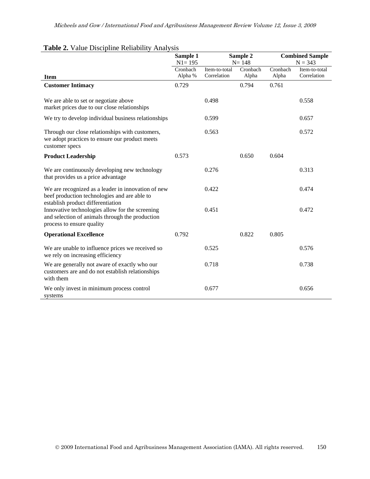| $\cdots$                                                                                                                                                             | Sample 1<br>$N1 = 195$ |                              | Sample 2<br>$N = 148$ | <b>Combined Sample</b><br>$N = 343$ |                              |  |
|----------------------------------------------------------------------------------------------------------------------------------------------------------------------|------------------------|------------------------------|-----------------------|-------------------------------------|------------------------------|--|
| <b>Item</b>                                                                                                                                                          | Cronbach<br>Alpha %    | Item-to-total<br>Correlation | Cronbach<br>Alpha     | Cronbach<br>Alpha                   | Item-to-total<br>Correlation |  |
| <b>Customer Intimacy</b>                                                                                                                                             | 0.729                  |                              | 0.794                 | 0.761                               |                              |  |
| We are able to set or negotiate above<br>market prices due to our close relationships                                                                                |                        | 0.498                        |                       |                                     | 0.558                        |  |
| We try to develop individual business relationships                                                                                                                  |                        | 0.599                        |                       |                                     | 0.657                        |  |
| Through our close relationships with customers,<br>we adopt practices to ensure our product meets<br>customer specs                                                  |                        | 0.563                        |                       |                                     | 0.572                        |  |
| <b>Product Leadership</b>                                                                                                                                            | 0.573                  |                              | 0.650                 | 0.604                               |                              |  |
| We are continuously developing new technology<br>that provides us a price advantage                                                                                  |                        | 0.276                        |                       |                                     | 0.313                        |  |
| We are recognized as a leader in innovation of new<br>beef production technologies and are able to                                                                   |                        | 0.422                        |                       |                                     | 0.474                        |  |
| establish product differentiation<br>Innovative technologies allow for the screening<br>and selection of animals through the production<br>process to ensure quality |                        | 0.451                        |                       |                                     | 0.472                        |  |
| <b>Operational Excellence</b>                                                                                                                                        | 0.792                  |                              | 0.822                 | 0.805                               |                              |  |
| We are unable to influence prices we received so<br>we rely on increasing efficiency                                                                                 |                        | 0.525                        |                       |                                     | 0.576                        |  |
| We are generally not aware of exactly who our<br>customers are and do not establish relationships<br>with them                                                       |                        | 0.718                        |                       |                                     | 0.738                        |  |
| We only invest in minimum process control<br>systems                                                                                                                 |                        | 0.677                        |                       |                                     | 0.656                        |  |

#### **Table 2.** Value Discipline Reliability Analysis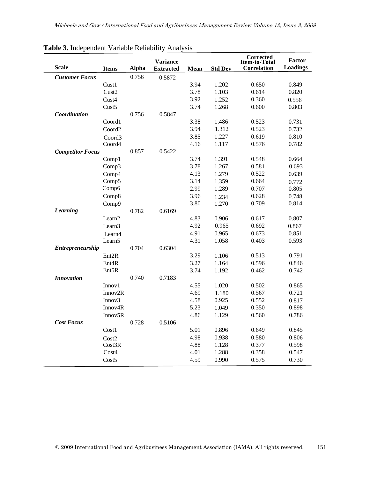| <b>Scale</b>            | <b>Items</b>         | <b>Alpha</b> | <b>Variance</b><br><b>Extracted</b> | Mean | <b>Std Dev</b> | <b>Corrected</b><br>Item-to-Total<br><b>Correlation</b> | <b>Factor</b><br><b>Loadings</b> |
|-------------------------|----------------------|--------------|-------------------------------------|------|----------------|---------------------------------------------------------|----------------------------------|
| <b>Customer Focus</b>   |                      | 0.756        | 0.5872                              |      |                |                                                         |                                  |
|                         | Cust1                |              |                                     | 3.94 | 1.202          | 0.650                                                   | 0.849                            |
|                         | Cust2                |              |                                     | 3.78 | 1.103          | 0.614                                                   | 0.820                            |
|                         | Cust <sub>4</sub>    |              |                                     | 3.92 | 1.252          | 0.360                                                   | 0.556                            |
|                         | Cust <sub>5</sub>    |              |                                     | 3.74 | 1.268          | 0.600                                                   | 0.803                            |
| Coordination            |                      | 0.756        | 0.5847                              |      |                |                                                         |                                  |
|                         | Coord1               |              |                                     | 3.38 | 1.486          | 0.523                                                   | 0.731                            |
|                         | Coord2               |              |                                     | 3.94 | 1.312          | 0.523                                                   | 0.732                            |
|                         | Coord3               |              |                                     | 3.85 | 1.227          | 0.619                                                   | 0.810                            |
|                         | Coord4               |              |                                     | 4.16 | 1.117          | 0.576                                                   | 0.782                            |
| <b>Competitor Focus</b> |                      | 0.857        | 0.5422                              |      |                |                                                         |                                  |
|                         | Comp1                |              |                                     | 3.74 | 1.391          | 0.548                                                   | 0.664                            |
|                         | Comp3                |              |                                     | 3.78 | 1.267          | 0.581                                                   | 0.693                            |
|                         | Comp4                |              |                                     | 4.13 | 1.279          | 0.522                                                   | 0.639                            |
|                         | Comp5                |              |                                     | 3.14 | 1.359          | 0.664                                                   | 0.772                            |
|                         | Comp6                |              |                                     | 2.99 | 1.289          | 0.707                                                   | 0.805                            |
|                         | Comp8                |              |                                     | 3.96 | 1.234          | 0.628                                                   | 0.748                            |
|                         | Comp9                |              |                                     | 3.80 | 1.270          | 0.709                                                   | 0.814                            |
| <b>Learning</b>         |                      | 0.782        | 0.6169                              |      |                |                                                         |                                  |
|                         | Learn <sub>2</sub>   |              |                                     | 4.83 | 0.906          | 0.617                                                   | 0.807                            |
|                         | Learn <sub>3</sub>   |              |                                     | 4.92 | 0.965          | 0.692                                                   | 0.867                            |
|                         | Learn4               |              |                                     | 4.91 | 0.965          | 0.673                                                   | 0.851                            |
|                         | Learn <sub>5</sub>   |              |                                     | 4.31 | 1.058          | 0.403                                                   | 0.593                            |
| Entrepreneurship        |                      | 0.704        | 0.6304                              |      |                |                                                         |                                  |
|                         | Ent <sub>2R</sub>    |              |                                     | 3.29 | 1.106          | 0.513                                                   | 0.791                            |
|                         | Ent <sub>4</sub> R   |              |                                     | 3.27 | 1.164          | 0.596                                                   | 0.846                            |
|                         | Ent5R                |              |                                     | 3.74 | 1.192          | 0.462                                                   | 0.742                            |
| <b>Innovation</b>       |                      | 0.740        | 0.7183                              |      |                |                                                         |                                  |
|                         | Innov1               |              |                                     | 4.55 | 1.020          | 0.502                                                   | 0.865                            |
|                         | Innov2R              |              |                                     | 4.69 | 1.180          | 0.567                                                   | 0.721                            |
|                         | Innov <sub>3</sub>   |              |                                     | 4.58 | 0.925          | 0.552                                                   | 0.817                            |
|                         | Innov <sub>4</sub> R |              |                                     | 5.23 | 1.049          | 0.350                                                   | 0.898                            |
| <b>Cost Focus</b>       | Innov5R              | 0.728        | 0.5106                              | 4.86 | 1.129          | 0.560                                                   | 0.786                            |
|                         | Cost1                |              |                                     | 5.01 | 0.896          | 0.649                                                   | 0.845                            |
|                         |                      |              |                                     | 4.98 | 0.938          | 0.580                                                   | 0.806                            |
|                         | Cost2<br>Cost3R      |              |                                     | 4.88 | 1.128          | 0.377                                                   | 0.598                            |
|                         | Cost4                |              |                                     | 4.01 | 1.288          | 0.358                                                   | 0.547                            |
|                         | Cost5                |              |                                     | 4.59 | 0.990          | 0.575                                                   | 0.730                            |
|                         |                      |              |                                     |      |                |                                                         |                                  |

## **Table 3.** Independent Variable Reliability Analysis